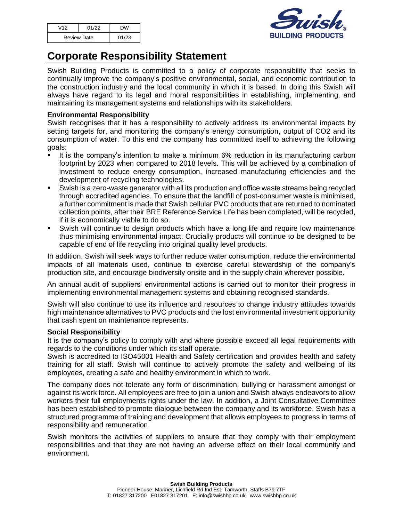| V12                | 01/22 | <b>DW</b> |
|--------------------|-------|-----------|
| <b>Review Date</b> |       | 01/23     |



# **Corporate Responsibility Statement**

Swish Building Products is committed to a policy of corporate responsibility that seeks to continually improve the company's positive environmental, social, and economic contribution to the construction industry and the local community in which it is based. In doing this Swish will always have regard to its legal and moral responsibilities in establishing, implementing, and maintaining its management systems and relationships with its stakeholders.

## **Environmental Responsibility**

Swish recognises that it has a responsibility to actively address its environmental impacts by setting targets for, and monitoring the company's energy consumption, output of CO2 and its consumption of water. To this end the company has committed itself to achieving the following goals:

- It is the company's intention to make a minimum 6% reduction in its manufacturing carbon footprint by 2023 when compared to 2018 levels. This will be achieved by a combination of investment to reduce energy consumption, increased manufacturing efficiencies and the development of recycling technologies.
- Swish is a zero-waste generator with all its production and office waste streams being recycled through accredited agencies. To ensure that the landfill of post-consumer waste is minimised, a further commitment is made that Swish cellular PVC products that are returned to nominated collection points, after their BRE Reference Service Life has been completed, will be recycled, if it is economically viable to do so.
- Swish will continue to design products which have a long life and require low maintenance thus minimising environmental impact. Crucially products will continue to be designed to be capable of end of life recycling into original quality level products.

In addition, Swish will seek ways to further reduce water consumption, reduce the environmental impacts of all materials used, continue to exercise careful stewardship of the company's production site, and encourage biodiversity onsite and in the supply chain wherever possible.

An annual audit of suppliers' environmental actions is carried out to monitor their progress in implementing environmental management systems and obtaining recognised standards.

Swish will also continue to use its influence and resources to change industry attitudes towards high maintenance alternatives to PVC products and the lost environmental investment opportunity that cash spent on maintenance represents.

### **Social Responsibility**

It is the company's policy to comply with and where possible exceed all legal requirements with regards to the conditions under which its staff operate.

Swish is accredited to ISO45001 Health and Safety certification and provides health and safety training for all staff. Swish will continue to actively promote the safety and wellbeing of its employees, creating a safe and healthy environment in which to work.

The company does not tolerate any form of discrimination, bullying or harassment amongst or against its work force. All employees are free to join a union and Swish always endeavors to allow workers their full employments rights under the law. In addition, a Joint Consultative Committee has been established to promote dialogue between the company and its workforce. Swish has a structured programme of training and development that allows employees to progress in terms of responsibility and remuneration.

Swish monitors the activities of suppliers to ensure that they comply with their employment responsibilities and that they are not having an adverse effect on their local community and environment.